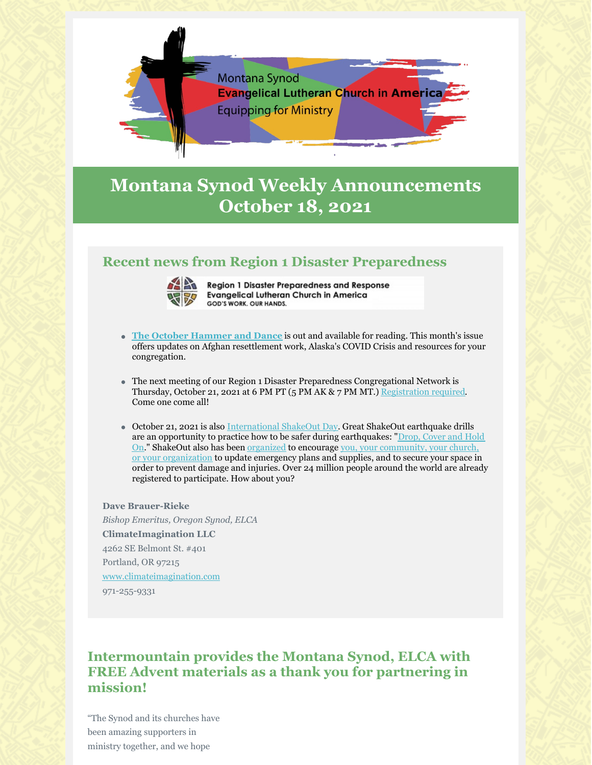

# **Montana Synod Weekly Announcements October 18, 2021**

## **Recent news from Region 1 Disaster Preparedness**



**Region 1 Disaster Preparedness and Response Evangelical Lutheran Church in America** GOD'S WORK. OUR HANDS.

- **The October Hammer and Dance** is out and available for reading. This month's issue offers updates on Afghan resettlement work, Alaska's COVID Crisis and resources for your congregation.
- The next meeting of our Region 1 Disaster Preparedness Congregational Network is Thursday, October 21, 2021 at 6 PM PT (5 PM AK & 7 PM MT.) Registration required. Come one come all!
- October 21, 2021 is also International ShakeOut Day. Great ShakeOut earthquake drills are an opportunity to practice how to be safer during earthquakes: "Drop, Cover and Hold On." ShakeOut also has been organized to encourage you, your community, your church, or your organization to update emergency plans and supplies, and to secure your space in order to prevent damage and injuries. Over 24 million people around the world are already registered to participate. How about you?

**Dave Brauer-Rieke** *Bishop Emeritus, Oregon Synod, ELCA* **ClimateImagination LLC** 4262 SE Belmont St. #401 Portland, OR 97215 www.climateimagination.com 971-255-9331

## **Intermountain provides the Montana Synod, ELCA with FREE Advent materials as a thank you for partnering in mission!**

"The Synod and its churches have been amazing supporters in ministry together, and we hope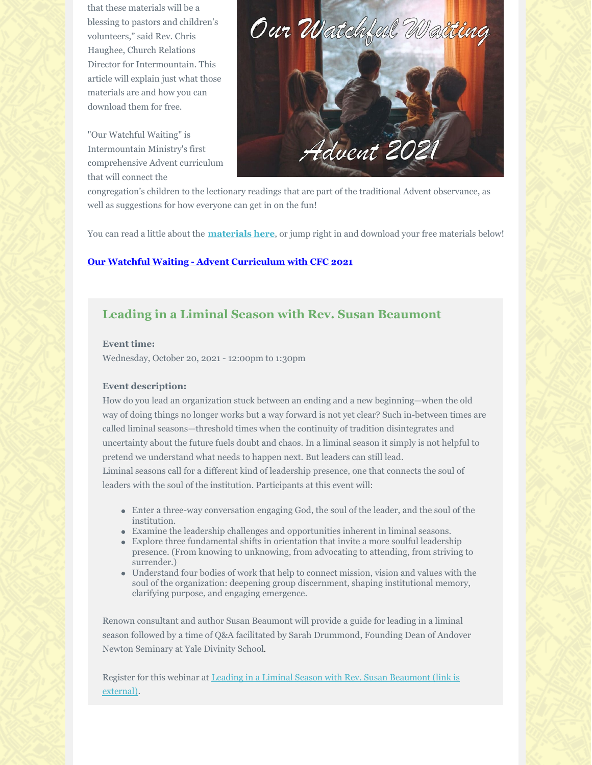that these materials will be a blessing to pastors and children's volunteers," said Rev. Chris Haughee, Church Relations Director for Intermountain. This article will explain just what those materials are and how you can download them for free.

"Our Watchful Waiting" is Intermountain Ministry's first comprehensive Advent curriculum that will connect the



congregation's children to the lectionary readings that are part of the traditional Advent observance, as well as suggestions for how everyone can get in on the fun!

You can read a little about the **materials here**, or jump right in and download your free materials below!

#### **Our Watchful Waiting - Advent Curriculum with CFC 2021**

### **Leading in a Liminal Season with Rev. Susan Beaumont**

#### **Event time:**

Wednesday, October 20, 2021 - 12:00pm to 1:30pm

#### **Event description:**

How do you lead an organization stuck between an ending and a new beginning—when the old way of doing things no longer works but a way forward is not yet clear? Such in-between times are called liminal seasons—threshold times when the continuity of tradition disintegrates and uncertainty about the future fuels doubt and chaos. In a liminal season it simply is not helpful to pretend we understand what needs to happen next. But leaders can still lead.

Liminal seasons call for a different kind of leadership presence, one that connects the soul of leaders with the soul of the institution. Participants at this event will:

- Enter a three-way conversation engaging God, the soul of the leader, and the soul of the institution.
- Examine the leadership challenges and opportunities inherent in liminal seasons.
- Explore three fundamental shifts in orientation that invite a more soulful leadership presence. (From knowing to unknowing, from advocating to attending, from striving to surrender.)
- Understand four bodies of work that help to connect mission, vision and values with the soul of the organization: deepening group discernment, shaping institutional memory, clarifying purpose, and engaging emergence.

Renown consultant and author Susan Beaumont will provide a guide for leading in a liminal season followed by a time of Q&A facilitated by Sarah Drummond, Founding Dean of Andover Newton Seminary at Yale Divinity School.

Register for this webinar at Leading in a Liminal Season with Rev. Susan Beaumont (link is external).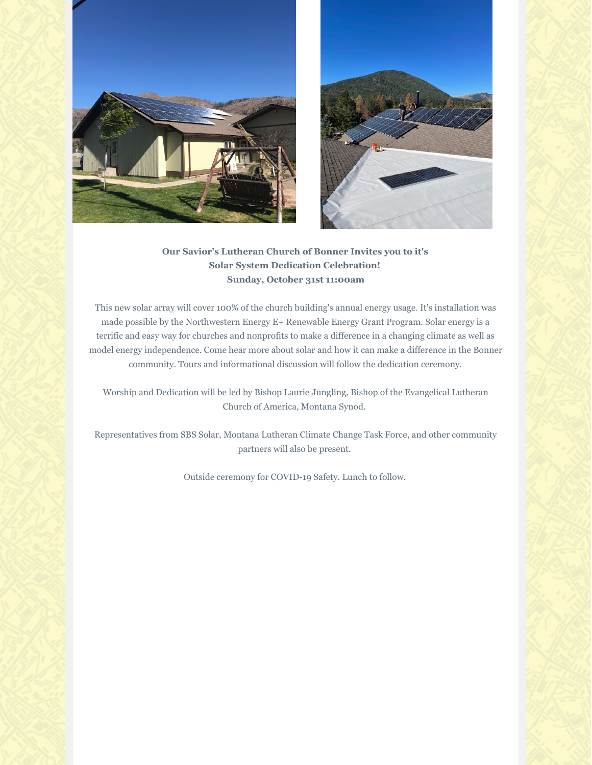



## **Our Savior's Lutheran Church of Bonner Invites you to it's Solar System Dedication Celebration! Sunday, October 31st 11:00am**

This new solar array will cover 100% of the church building's annual energy usage. It's installation was made possible by the Northwestern Energy E+ Renewable Energy Grant Program. Solar energy is a terrific and easy way for churches and nonprofits to make a difference in a changing climate as well as model energy independence. Come hear more about solar and how it can make a difference in the Bonner community. Tours and informational discussion will follow the dedication ceremony.

Worship and Dedication will be led by Bishop Laurie Jungling, Bishop of the Evangelical Lutheran Church of America, Montana Synod.

Representatives from SBS Solar, Montana Lutheran Climate Change Task Force, and other community partners will also be present.

Outside ceremony for COVID-19 Safety. Lunch to follow.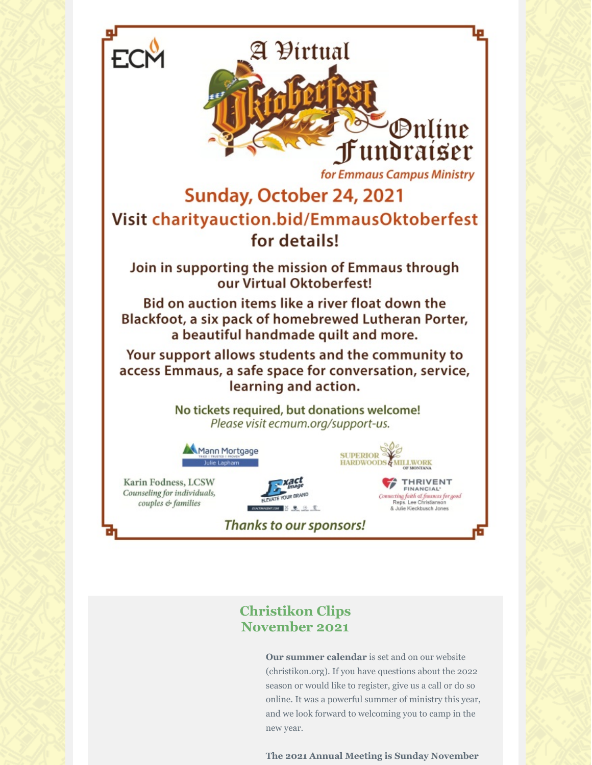

**Our summer calendar** is set and on our website (christikon.org). If you have questions about the 2022 season or would like to register, give us a call or do so online. It was a powerful summer of ministry this year, and we look forward to welcoming you to camp in the new year.

**The 2021 Annual Meeting is Sunday November**